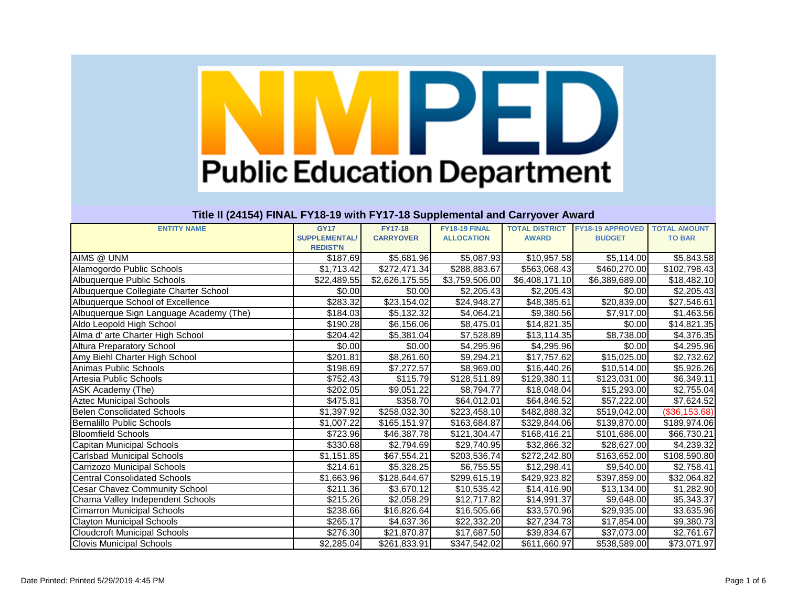|                                         | <b>GY17</b>          |                                    | FY18-19 FINAL     |                       | <b>FY18-19 APPROVED</b> | <b>TOTAL AMOUNT</b> |
|-----------------------------------------|----------------------|------------------------------------|-------------------|-----------------------|-------------------------|---------------------|
| <b>ENTITY NAME</b>                      | <b>SUPPLEMENTAL/</b> | <b>FY17-18</b><br><b>CARRYOVER</b> |                   | <b>TOTAL DISTRICT</b> |                         |                     |
|                                         | <b>REDIST'N</b>      |                                    | <b>ALLOCATION</b> | <b>AWARD</b>          | <b>BUDGET</b>           | <b>TO BAR</b>       |
| AIMS @ UNM                              | \$187.69             | \$5,681.96                         | \$5,087.93        | \$10,957.58           | \$5,114.00              | \$5,843.58          |
| Alamogordo Public Schools               | \$1,713.42           | \$272,471.34                       | \$288,883.67      | \$563,068.43          | \$460,270.00            | \$102,798.43        |
| Albuquerque Public Schools              | \$22,489.55          | \$2,626,175.55                     | \$3,759,506.00    | \$6,408,171.10        | \$6,389,689.00          | \$18,482.10         |
| Albuquerque Collegiate Charter School   | \$0.00               | \$0.00                             | \$2,205.43        | \$2,205.43            | \$0.00                  | \$2,205.43          |
| Albuquerque School of Excellence        | \$283.32             | \$23,154.02                        | \$24,948.27       | \$48,385.61           | \$20,839.00             | \$27,546.61         |
| Albuquerque Sign Language Academy (The) | \$184.03             | \$5,132.32                         | \$4,064.21        | \$9,380.56            | \$7,917.00              | \$1,463.56          |
| Aldo Leopold High School                | \$190.28             | \$6,156.06                         | \$8,475.01        | \$14,821.35           | \$0.00                  | \$14,821.35         |
| Alma d' arte Charter High School        | \$204.42             | \$5,381.04                         | \$7,528.89        | \$13,114.35           | \$8,738.00              | \$4,376.35          |
| <b>Altura Preparatory School</b>        | \$0.00               | \$0.00                             | \$4,295.96        | \$4,295.96            | \$0.00                  | \$4,295.96          |
| Amy Biehl Charter High School           | \$201.81             | \$8,261.60                         | \$9,294.21        | \$17,757.62           | \$15,025.00             | \$2,732.62          |
| Animas Public Schools                   | \$198.69             | \$7,272.57                         | \$8,969.00        | \$16,440.26           | \$10,514.00             | \$5,926.26          |
| Artesia Public Schools                  | \$752.43             | \$115.79                           | \$128,511.89      | \$129,380.11          | \$123,031.00            | \$6,349.11          |
| ASK Academy (The)                       | \$202.05             | \$9,051.22                         | \$8,794.77        | \$18,048.04           | \$15,293.00             | \$2,755.04          |
| <b>Aztec Municipal Schools</b>          | \$475.81             | \$358.70                           | \$64,012.01       | \$64,846.52           | \$57,222.00             | \$7,624.52          |
| <b>Belen Consolidated Schools</b>       | \$1,397.92           | \$258,032.30                       | \$223,458.10      | \$482,888.32          | \$519,042.00            | (\$36,153.68)       |
| Bernalillo Public Schools               | \$1,007.22           | \$165,151.97                       | \$163,684.87      | \$329,844.06          | \$139,870.00            | \$189,974.06        |
| <b>Bloomfield Schools</b>               | \$723.96             | \$46,387.78                        | \$121,304.47      | \$168,416.21          | \$101,686.00            | \$66,730.21         |
| Capitan Municipal Schools               | \$330.68             | \$2,794.69                         | \$29,740.95       | \$32,866.32           | \$28,627.00             | \$4,239.32          |
| <b>Carlsbad Municipal Schools</b>       | \$1,151.85           | \$67,554.21                        | \$203,536.74      | \$272,242.80          | \$163,652.00            | \$108,590.80        |
| Carrizozo Municipal Schools             | \$214.61             | \$5,328.25                         | \$6,755.55        | \$12,298.41           | \$9,540.00              | \$2,758.41          |
| <b>Central Consolidated Schools</b>     | \$1,663.96           | \$128,644.67                       | \$299,615.19      | \$429,923.82          | \$397,859.00            | \$32,064.82         |
| <b>Cesar Chavez Community School</b>    | \$211.36             | \$3,670.12                         | \$10,535.42       | \$14,416.90           | \$13,134.00             | \$1,282.90          |
| Chama Valley Independent Schools        | \$215.26             | \$2,058.29                         | \$12,717.82       | \$14,991.37           | \$9,648.00              | \$5,343.37          |
| <b>Cimarron Municipal Schools</b>       | \$238.66             | \$16,826.64                        | \$16,505.66       | \$33,570.96           | \$29,935.00             | \$3,635.96          |
| <b>Clayton Municipal Schools</b>        | \$265.17             | \$4,637.36                         | \$22,332.20       | \$27,234.73           | \$17,854.00             | \$9,380.73          |
| <b>Cloudcroft Municipal Schools</b>     | \$276.30             | \$21,870.87                        | \$17,687.50       | \$39,834.67           | \$37,073.00             | \$2,761.67          |
| <b>Clovis Municipal Schools</b>         | \$2,285.04           | \$261,833.91                       | \$347,542.02      | \$611,660.97          | \$538,589.00            | \$73,071.97         |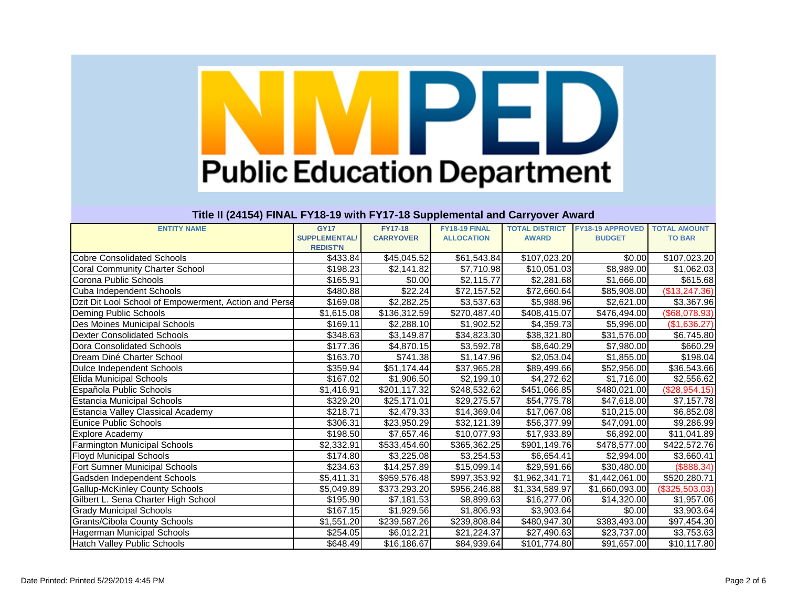| <b>ENTITY NAME</b>                                    | <b>GY17</b>          | <b>FY17-18</b>         | FY18-19 FINAL     | <b>TOTAL DISTRICT</b> | <b>FY18-19 APPROVED</b> | <b>TOTAL AMOUNT</b> |
|-------------------------------------------------------|----------------------|------------------------|-------------------|-----------------------|-------------------------|---------------------|
|                                                       | <b>SUPPLEMENTAL/</b> | <b>CARRYOVER</b>       | <b>ALLOCATION</b> | <b>AWARD</b>          | <b>BUDGET</b>           | <b>TO BAR</b>       |
|                                                       | <b>REDIST'N</b>      |                        |                   |                       |                         |                     |
| <b>Cobre Consolidated Schools</b>                     | \$433.84             | \$45,045.52            | \$61,543.84       | \$107,023.20          | \$0.00                  | \$107,023.20        |
| <b>Coral Community Charter School</b>                 | \$198.23             | \$2,141.82             | \$7,710.98        | \$10,051.03           | \$8,989.00              | \$1,062.03          |
| Corona Public Schools                                 | \$165.91             | \$0.00                 | \$2,115.77        | \$2,281.68            | \$1,666.00              | \$615.68            |
| Cuba Independent Schools                              | \$480.88             | \$22.24                | \$72,157.52       | \$72,660.64           | \$85,908.00             | (\$13,247.36)       |
| Dzit Dit Lool School of Empowerment, Action and Perse | \$169.08             | $\overline{$2,282.25}$ | \$3,537.63        | \$5,988.96            | \$2,621.00              | \$3,367.96          |
| Deming Public Schools                                 | \$1,615.08           | \$136,312.59           | \$270,487.40      | \$408,415.07          | \$476,494.00            | (\$68,078.93)       |
| Des Moines Municipal Schools                          | \$169.11             | \$2,288.10             | \$1,902.52        | \$4,359.73            | \$5,996.00              | (\$1,636.27)        |
| Dexter Consolidated Schools                           | \$348.63             | \$3,149.87             | \$34,823.30       | \$38,321.80           | \$31,576.00             | \$6,745.80          |
| Dora Consolidated Schools                             | \$177.36             | \$4,870.15             | \$3,592.78        | \$8,640.29            | \$7,980.00              | \$660.29            |
| Dream Diné Charter School                             | \$163.70             | \$741.38               | \$1,147.96        | \$2,053.04            | \$1,855.00              | \$198.04            |
| Dulce Independent Schools                             | \$359.94             | \$51,174.44            | \$37,965.28       | \$89,499.66           | \$52,956.00             | \$36,543.66         |
| <b>Elida Municipal Schools</b>                        | \$167.02             | \$1,906.50             | \$2,199.10        | \$4,272.62            | \$1,716.00              | \$2,556.62          |
| Española Public Schools                               | \$1,416.91           | \$201,117.32           | \$248,532.62      | \$451,066.85          | \$480,021.00            | (\$28,954.15)       |
| <b>Estancia Municipal Schools</b>                     | \$329.20             | \$25,171.01            | \$29,275.57       | \$54,775.78           | \$47,618.00             | \$7,157.78          |
| Estancia Valley Classical Academy                     | \$218.71             | \$2,479.33             | \$14,369.04       | \$17,067.08           | \$10,215.00             | \$6,852.08          |
| <b>Eunice Public Schools</b>                          | \$306.31             | \$23,950.29            | \$32,121.39       | \$56,377.99           | \$47,091.00             | \$9,286.99          |
| <b>Explore Academy</b>                                | $\overline{$}198.50$ | \$7,657.46             | \$10,077.93       | \$17,933.89           | \$6,892.00              | \$11,041.89         |
| <b>Farmington Municipal Schools</b>                   | \$2,332.91           | \$533,454.60           | \$365,362.25      | \$901,149.76          | \$478,577.00            | \$422,572.76        |
| <b>Floyd Municipal Schools</b>                        | \$174.80             | \$3,225.08             | \$3,254.53        | \$6,654.41            | \$2,994.00              | \$3,660.41          |
| <b>Fort Sumner Municipal Schools</b>                  | \$234.63             | \$14,257.89            | \$15,099.14       | \$29,591.66           | \$30,480.00             | (\$888.34)          |
| Gadsden Independent Schools                           | \$5,411.31           | \$959,576.48           | \$997,353.92      | \$1,962,341.71        | \$1,442,061.00          | \$520,280.71        |
| <b>Gallup-McKinley County Schools</b>                 | \$5,049.89           | \$373,293.20           | \$956,246.88      | \$1,334,589.97        | \$1,660,093.00          | (\$325,503.03)      |
| Gilbert L. Sena Charter High School                   | \$195.90             | \$7,181.53             | \$8,899.63        | \$16,277.06           | \$14,320.00             | \$1,957.06          |
| <b>Grady Municipal Schools</b>                        | \$167.15             | \$1,929.56             | \$1,806.93        | \$3,903.64            | \$0.00                  | \$3,903.64          |
| <b>Grants/Cibola County Schools</b>                   | \$1,551.20           | \$239,587.26           | \$239,808.84      | \$480,947.30          | \$383,493.00            | \$97,454.30         |
| Hagerman Municipal Schools                            | \$254.05             | \$6,012.21             | \$21,224.37       | \$27,490.63           | \$23,737.00             | \$3,753.63          |
| <b>Hatch Valley Public Schools</b>                    | \$648.49             | \$16,186.67            | \$84,939.64       | \$101,774.80          | \$91,657.00             | \$10,117.80         |
|                                                       |                      |                        |                   |                       |                         |                     |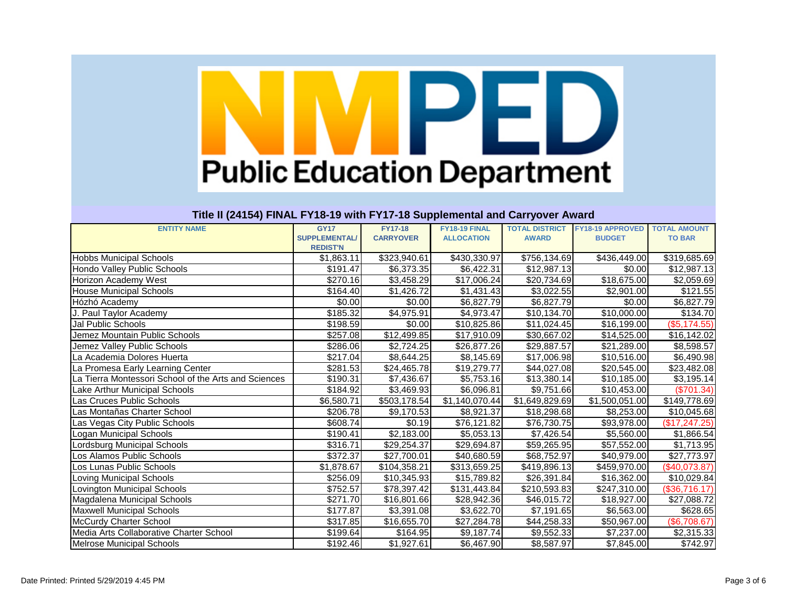| <b>ENTITY NAME</b>                                   | <b>GY17</b>          | <b>FY17-18</b>   | FY18-19 FINAL     | <b>TOTAL DISTRICT</b> | <b>FY18-19 APPROVED</b> | <b>TOTAL AMOUNT</b>    |
|------------------------------------------------------|----------------------|------------------|-------------------|-----------------------|-------------------------|------------------------|
|                                                      | <b>SUPPLEMENTAL/</b> | <b>CARRYOVER</b> | <b>ALLOCATION</b> | <b>AWARD</b>          | <b>BUDGET</b>           | <b>TO BAR</b>          |
|                                                      | <b>REDIST'N</b>      |                  |                   |                       |                         |                        |
| <b>Hobbs Municipal Schools</b>                       | \$1,863.11           | \$323,940.61     | \$430,330.97      | \$756,134.69          | \$436,449.00            | \$319,685.69           |
| Hondo Valley Public Schools                          | \$191.47             | \$6,373.35       | \$6,422.31        | \$12,987.13           | \$0.00                  | \$12,987.13            |
| <b>Horizon Academy West</b>                          | \$270.16             | \$3,458.29       | \$17,006.24       | \$20,734.69           | \$18,675.00             | $\overline{$2,059.69}$ |
| <b>House Municipal Schools</b>                       | \$164.40             | \$1,426.72       | \$1,431.43        | \$3,022.55            | \$2,901.00              | \$121.55               |
| Hózhó Academy                                        | \$0.00               | \$0.00           | \$6,827.79        | \$6,827.79            | \$0.00                  | \$6,827.79             |
| J. Paul Taylor Academy                               | \$185.32             | \$4,975.91       | \$4,973.47        | \$10,134.70           | $\overline{$10,000.00}$ | \$134.70               |
| <b>Jal Public Schools</b>                            | \$198.59             | \$0.00           | \$10,825.86       | \$11,024.45           | \$16,199.00             | (\$5,174.55)           |
| Jemez Mountain Public Schools                        | \$257.08             | \$12,499.85      | \$17,910.09       | \$30,667.02           | \$14,525.00             | \$16,142.02            |
| Jemez Valley Public Schools                          | \$286.06             | \$2,724.25       | \$26,877.26       | \$29,887.57           | \$21,289.00             | \$8,598.57             |
| La Academia Dolores Huerta                           | \$217.04             | \$8,644.25       | \$8,145.69        | \$17,006.98           | \$10,516.00             | \$6,490.98             |
| La Promesa Early Learning Center                     | \$281.53             | \$24,465.78      | \$19,279.77       | \$44,027.08           | \$20,545.00             | \$23,482.08            |
| La Tierra Montessori School of the Arts and Sciences | \$190.31             | \$7,436.67       | \$5,753.16        | \$13,380.14           | \$10,185.00             | \$3,195.14             |
| Lake Arthur Municipal Schools                        | \$184.92             | \$3,469.93       | \$6,096.81        | \$9,751.66            | \$10,453.00             | (\$701.34)             |
| Las Cruces Public Schools                            | \$6,580.71           | \$503,178.54     | \$1,140,070.44    | \$1,649,829.69        | \$1,500,051.00          | \$149,778.69           |
| Las Montañas Charter School                          | \$206.78             | \$9,170.53       | \$8,921.37        | \$18,298.68           | \$8,253.00              | \$10,045.68            |
| Las Vegas City Public Schools                        | \$608.74             | \$0.19           | \$76,121.82       | \$76,730.75           | \$93,978.00             | (\$17, 247.25)         |
| Logan Municipal Schools                              | \$190.41             | \$2,183.00       | \$5,053.13        | \$7,426.54            | \$5,560.00              | \$1,866.54             |
| Lordsburg Municipal Schools                          | \$316.71             | \$29,254.37      | \$29,694.87       | \$59,265.95           | \$57,552.00             | \$1,713.95             |
| Los Alamos Public Schools                            | \$372.37             | \$27,700.01      | \$40,680.59       | \$68,752.97           | \$40,979.00             | \$27,773.97            |
| Los Lunas Public Schools                             | \$1,878.67           | \$104,358.21     | \$313,659.25      | \$419,896.13          | \$459,970.00            | (\$40,073.87)          |
| <b>Loving Municipal Schools</b>                      | \$256.09             | \$10,345.93      | \$15,789.82       | \$26,391.84           | \$16,362.00             | \$10,029.84            |
| Lovington Municipal Schools                          | \$752.57             | \$78,397.42      | \$131,443.84      | \$210,593.83          | \$247,310.00            | (\$36,716.17)          |
| Magdalena Municipal Schools                          | \$271.70             | \$16,801.66      | \$28,942.36       | \$46,015.72           | \$18,927.00             | \$27,088.72            |
| <b>Maxwell Municipal Schools</b>                     | \$177.87             | \$3,391.08       | \$3,622.70        | \$7,191.65            | \$6,563.00              | \$628.65               |
| McCurdy Charter School                               | \$317.85             | \$16,655.70      | \$27,284.78       | \$44,258.33           | \$50,967.00             | (\$6,708.67)           |
| Media Arts Collaborative Charter School              | \$199.64             | \$164.95         | \$9,187.74        | \$9,552.33            | \$7,237.00              | \$2,315.33             |
| <b>Melrose Municipal Schools</b>                     | \$192.46             | \$1,927.61       | \$6,467.90        | \$8,587.97            | \$7,845.00              | \$742.97               |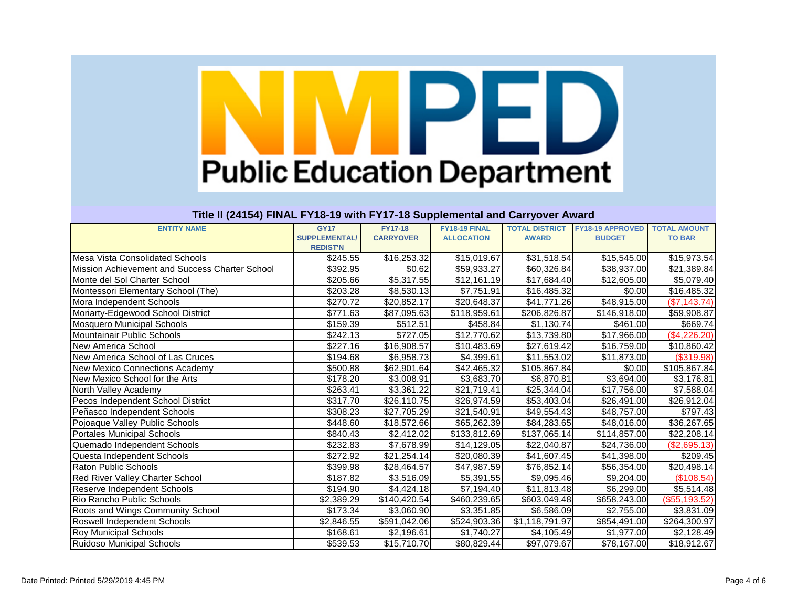| <b>ENTITY NAME</b>                             | <b>GY17</b>          | <b>FY17-18</b>         | FY18-19 FINAL     | <b>TOTAL DISTRICT</b> | <b>FY18-19 APPROVED</b> | <b>TOTAL AMOUNT</b> |
|------------------------------------------------|----------------------|------------------------|-------------------|-----------------------|-------------------------|---------------------|
|                                                | <b>SUPPLEMENTAL/</b> | <b>CARRYOVER</b>       | <b>ALLOCATION</b> | <b>AWARD</b>          | <b>BUDGET</b>           | <b>TO BAR</b>       |
|                                                | <b>REDIST'N</b>      |                        |                   |                       |                         |                     |
| Mesa Vista Consolidated Schools                | \$245.55             | \$16,253.32            | \$15,019.67       | \$31,518.54           | \$15,545.00             | \$15,973.54         |
| Mission Achievement and Success Charter School | \$392.95             | \$0.62                 | \$59,933.27       | \$60,326.84           | \$38,937.00             | \$21,389.84         |
| Monte del Sol Charter School                   | \$205.66             | $\overline{$}5,317.55$ | \$12,161.19       | \$17,684.40           | \$12,605.00             | \$5,079.40          |
| Montessori Elementary School (The)             | \$203.28             | \$8,530.13             | \$7,751.91        | \$16,485.32           | \$0.00                  | \$16,485.32         |
| Mora Independent Schools                       | \$270.72             | \$20,852.17            | \$20,648.37       | \$41,771.26           | \$48,915.00             | (\$7,143.74)        |
| Moriarty-Edgewood School District              | \$771.63             | \$87,095.63            | \$118,959.61      | \$206,826.87          | \$146,918.00            | \$59,908.87         |
| Mosquero Municipal Schools                     | \$159.39             | \$512.51               | \$458.84          | \$1,130.74            | \$461.00                | \$669.74            |
| Mountainair Public Schools                     | \$242.13             | \$727.05               | \$12,770.62       | \$13,739.80           | \$17,966.00             | (\$4,226.20)        |
| New America School                             | \$227.16             | \$16,908.57            | \$10,483.69       | \$27,619.42           | \$16,759.00             | \$10,860.42         |
| New America School of Las Cruces               | \$194.68             | \$6,958.73             | \$4,399.61        | \$11,553.02           | \$11,873.00             | (\$319.98)          |
| New Mexico Connections Academy                 | \$500.88             | \$62,901.64            | \$42,465.32       | \$105,867.84          | \$0.00                  | \$105,867.84        |
| New Mexico School for the Arts                 | \$178.20             | \$3,008.91             | \$3,683.70        | \$6,870.81            | \$3,694.00              | \$3,176.81          |
| North Valley Academy                           | \$263.41             | \$3,361.22             | \$21,719.41       | \$25,344.04           | \$17,756.00             | \$7,588.04          |
| Pecos Independent School District              | \$317.70             | \$26,110.75            | \$26,974.59       | \$53,403.04           | \$26,491.00             | \$26,912.04         |
| Peñasco Independent Schools                    | \$308.23             | \$27,705.29            | \$21,540.91       | \$49,554.43           | \$48,757.00             | \$797.43            |
| Pojoaque Valley Public Schools                 | \$448.60             | \$18,572.66            | \$65,262.39       | \$84,283.65           | \$48,016.00             | \$36,267.65         |
| <b>Portales Municipal Schools</b>              | \$840.43             | \$2,412.02             | \$133,812.69      | \$137,065.14          | \$114,857.00            | \$22,208.14         |
| Quemado Independent Schools                    | \$232.83             | \$7,678.99             | \$14,129.05       | \$22,040.87           | \$24,736.00             | (\$2,695.13)        |
| Questa Independent Schools                     | \$272.92             | \$21,254.14            | \$20,080.39       | \$41,607.45           | \$41,398.00             | \$209.45            |
| Raton Public Schools                           | \$399.98             | \$28,464.57            | \$47,987.59       | \$76,852.14           | \$56,354.00             | \$20,498.14         |
| <b>Red River Valley Charter School</b>         | \$187.82             | \$3,516.09             | \$5,391.55        | \$9,095.46            | \$9,204.00              | (\$108.54)          |
| Reserve Independent Schools                    | \$194.90             | \$4,424.18             | \$7,194.40        | \$11,813.48           | \$6,299.00              | \$5,514.48          |
| Rio Rancho Public Schools                      | \$2,389.29           | \$140,420.54           | \$460,239.65      | \$603,049.48          | \$658,243.00            | (\$55,193.52)       |
| Roots and Wings Community School               | \$173.34             | \$3,060.90             | \$3,351.85        | \$6,586.09            | \$2,755.00              | \$3,831.09          |
| Roswell Independent Schools                    | \$2,846.55           | \$591,042.06           | \$524,903.36      | \$1,118,791.97        | \$854,491.00            | \$264,300.97        |
| <b>Roy Municipal Schools</b>                   | \$168.61             | \$2,196.61             | \$1,740.27        | \$4,105.49            | \$1,977.00              | \$2,128.49          |
| <b>Ruidoso Municipal Schools</b>               | \$539.53             | \$15,710.70            | \$80,829.44       | \$97,079.67           | \$78,167.00             | \$18,912.67         |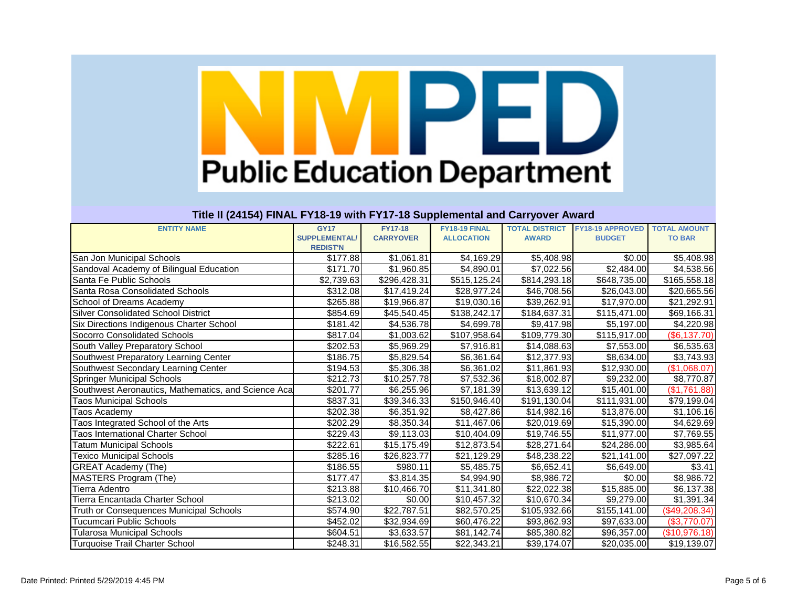|                                                     |                      | .                |                   |                       |                         |                     |
|-----------------------------------------------------|----------------------|------------------|-------------------|-----------------------|-------------------------|---------------------|
| <b>ENTITY NAME</b>                                  | <b>GY17</b>          | <b>FY17-18</b>   | FY18-19 FINAL     | <b>TOTAL DISTRICT</b> | <b>FY18-19 APPROVED</b> | <b>TOTAL AMOUNT</b> |
|                                                     | <b>SUPPLEMENTAL/</b> | <b>CARRYOVER</b> | <b>ALLOCATION</b> | <b>AWARD</b>          | <b>BUDGET</b>           | <b>TO BAR</b>       |
|                                                     | <b>REDIST'N</b>      |                  |                   |                       |                         |                     |
| San Jon Municipal Schools                           | \$177.88             | \$1,061.81       | \$4,169.29        | \$5,408.98            | \$0.00                  | \$5,408.98          |
| Sandoval Academy of Bilingual Education             | \$171.70             | \$1,960.85       | \$4,890.01        | \$7,022.56            | \$2,484.00              | \$4,538.56          |
| Santa Fe Public Schools                             | \$2,739.63           | \$296,428.31     | \$515,125.24      | \$814,293.18          | \$648,735.00            | \$165,558.18        |
| Santa Rosa Consolidated Schools                     | \$312.08             | \$17,419.24      | \$28,977.24       | \$46,708.56           | \$26,043.00             | \$20,665.56         |
| <b>School of Dreams Academy</b>                     | \$265.88             | \$19,966.87      | \$19,030.16       | \$39,262.91           | \$17,970.00             | \$21,292.91         |
| <b>Silver Consolidated School District</b>          | \$854.69             | \$45,540.45      | \$138,242.17      | \$184,637.31          | \$115,471.00            | \$69,166.31         |
| Six Directions Indigenous Charter School            | \$181.42             | \$4,536.78       | \$4,699.78        | \$9,417.98            | \$5,197.00              | \$4,220.98          |
| <b>Socorro Consolidated Schools</b>                 | $\overline{$817.04}$ | \$1,003.62       | \$107,958.64      | \$109,779.30          | \$115,917.00            | (\$6,137.70)        |
| South Valley Preparatory School                     | \$202.53             | \$5,969.29       | \$7,916.81        | \$14,088.63           | \$7,553.00              | \$6,535.63          |
| Southwest Preparatory Learning Center               | \$186.75             | \$5,829.54       | \$6,361.64        | \$12,377.93           | \$8,634.00              | \$3,743.93          |
| Southwest Secondary Learning Center                 | \$194.53             | \$5,306.38       | \$6,361.02        | \$11,861.93           | \$12,930.00             | (\$1,068.07)        |
| <b>Springer Municipal Schools</b>                   | \$212.73             | \$10,257.78      | \$7,532.36        | \$18,002.87           | \$9,232.00              | \$8,770.87          |
| Southwest Aeronautics, Mathematics, and Science Aca | \$201.77             | \$6,255.96       | \$7,181.39        | \$13,639.12           | \$15,401.00             | (\$1,761.88)        |
| <b>Taos Municipal Schools</b>                       | \$837.31             | \$39,346.33      | \$150,946.40      | \$191,130.04          | \$111,931.00            | \$79,199.04         |
| <b>Taos Academy</b>                                 | \$202.38             | \$6,351.92       | \$8,427.86        | \$14,982.16           | \$13,876.00             | \$1,106.16          |
| Taos Integrated School of the Arts                  | \$202.29             | \$8,350.34       | \$11,467.06       | \$20,019.69           | \$15,390.00             | \$4,629.69          |
| <b>Taos International Charter School</b>            | \$229.43             | \$9,113.03       | \$10,404.09       | \$19,746.55           | \$11,977.00             | \$7,769.55          |
| <b>Tatum Municipal Schools</b>                      | \$222.61             | \$15,175.49      | \$12,873.54       | \$28,271.64           | \$24,286.00             | \$3,985.64          |
| <b>Fexico Municipal Schools</b>                     | \$285.16             | \$26,823.77      | \$21,129.29       | \$48,238.22           | \$21,141.00             | \$27,097.22         |
| <b>GREAT Academy (The)</b>                          | \$186.55             | \$980.11         | \$5,485.75        | \$6,652.41            | \$6,649.00              | \$3.41              |
| MASTERS Program (The)                               | \$177.47             | \$3,814.35       | \$4,994.90        | \$8,986.72            | \$0.00                  | \$8,986.72          |
| Tierra Adentro                                      | \$213.88             | \$10,466.70      | \$11,341.80       | \$22,022.38           | \$15,885.00             | \$6,137.38          |
| ierra Encantada Charter School                      | \$213.02             | \$0.00           | \$10,457.32       | \$10,670.34           | \$9,279.00              | \$1,391.34          |
| Truth or Consequences Municipal Schools             | \$574.90             | \$22,787.51      | \$82,570.25       | \$105,932.66          | \$155,141.00            | $(\$49,208.34)$     |
| <b>Tucumcari Public Schools</b>                     | \$452.02             | \$32,934.69      | \$60,476.22       | \$93,862.93           | \$97,633.00             | (\$3,770.07)        |
| Tularosa Municipal Schools                          | \$604.51             | \$3,633.57       | \$81,142.74       | \$85,380.82           | \$96,357.00             | (\$10,976.18)       |
| <b>Turquoise Trail Charter School</b>               | \$248.31             | \$16,582.55      | \$22,343.21       | \$39,174.07           | \$20,035.00             | \$19,139.07         |